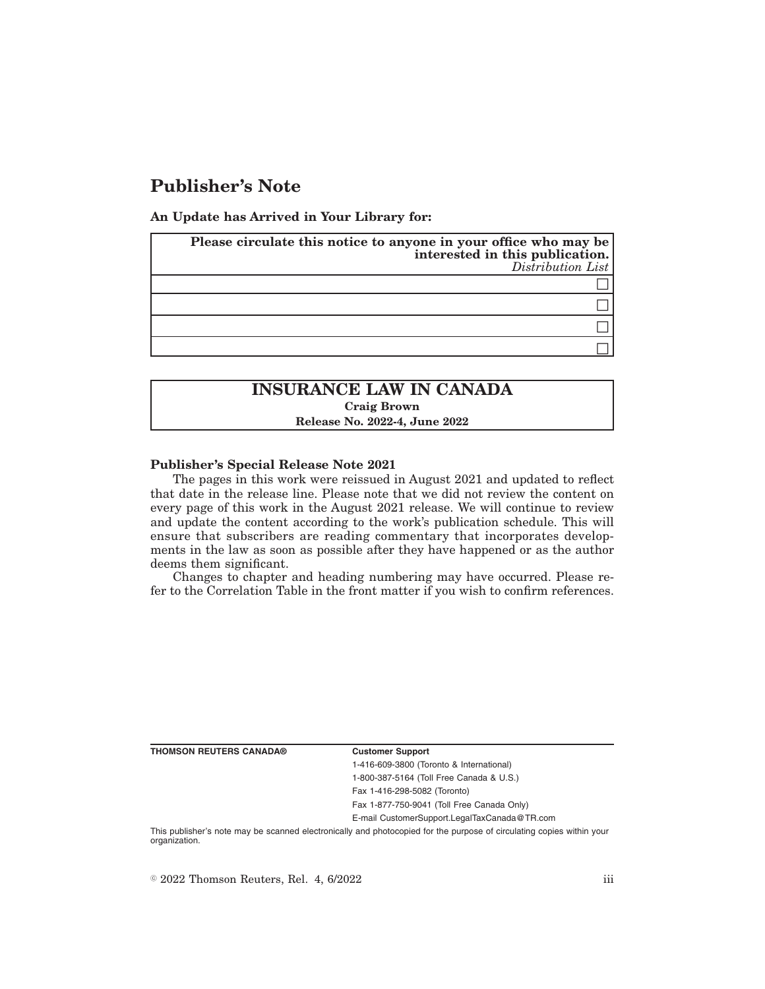# **Publisher's Note**

**An Update has Arrived in Your Library for:**

| Please circulate this notice to anyone in your office who may be<br>interested in this publication.<br>$Distribution$ List |
|----------------------------------------------------------------------------------------------------------------------------|
|                                                                                                                            |
|                                                                                                                            |
|                                                                                                                            |
|                                                                                                                            |

## **INSURANCE LAW IN CANADA Craig Brown Release No. 2022-4, June 2022**

### **Publisher's Special Release Note 2021**

The pages in this work were reissued in August 2021 and updated to reflect that date in the release line. Please note that we did not review the content on every page of this work in the August 2021 release. We will continue to review and update the content according to the work's publication schedule. This will ensure that subscribers are reading commentary that incorporates developments in the law as soon as possible after they have happened or as the author deems them significant.

Changes to chapter and heading numbering may have occurred. Please refer to the Correlation Table in the front matter if you wish to confirm references.

| THOMSON REUTERS CANADA® |  |  |  |
|-------------------------|--|--|--|
|-------------------------|--|--|--|

#### **Customer Support**

1-416-609-3800 (Toronto & International) 1-800-387-5164 (Toll Free Canada & U.S.)

Fax 1-416-298-5082 (Toronto)

Fax 1-877-750-9041 (Toll Free Canada Only)

E-mail CustomerSupport.LegalTaxCanada@TR.com

This publisher's note may be scanned electronically and photocopied for the purpose of circulating copies within your organization.

 $\degree$  2022 Thomson Reuters, Rel. 4, 6/2022 iii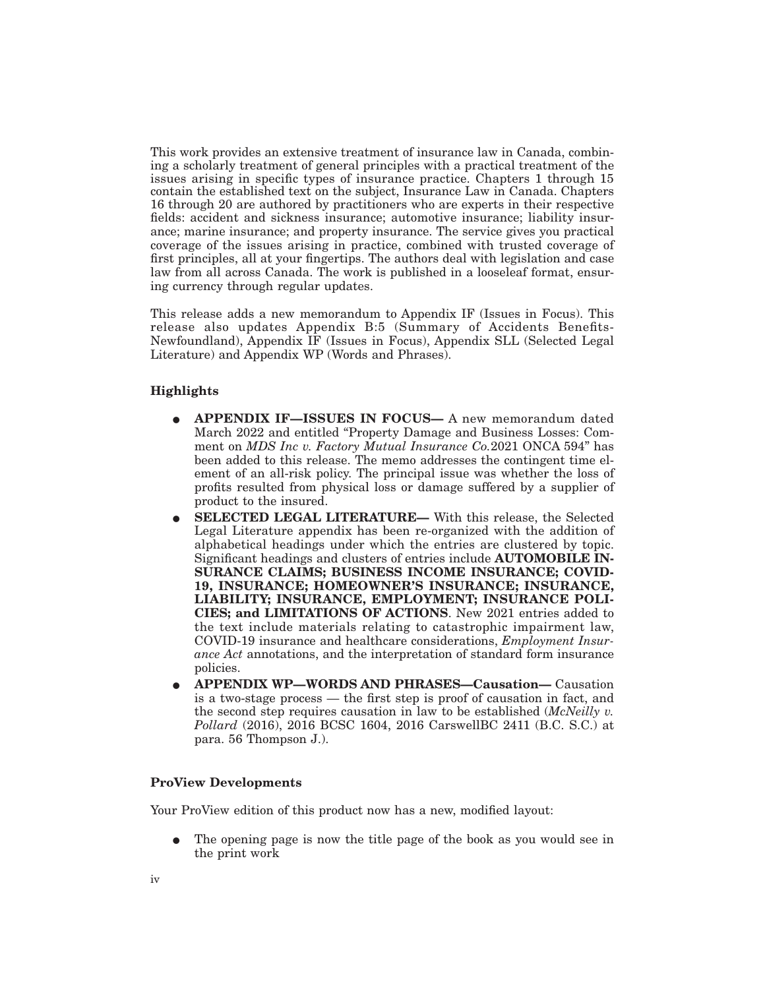This work provides an extensive treatment of insurance law in Canada, combining a scholarly treatment of general principles with a practical treatment of the issues arising in specific types of insurance practice. Chapters 1 through 15 contain the established text on the subject, Insurance Law in Canada. Chapters 16 through 20 are authored by practitioners who are experts in their respective fields: accident and sickness insurance; automotive insurance; liability insurance; marine insurance; and property insurance. The service gives you practical coverage of the issues arising in practice, combined with trusted coverage of first principles, all at your fingertips. The authors deal with legislation and case law from all across Canada. The work is published in a looseleaf format, ensuring currency through regular updates.

This release adds a new memorandum to Appendix IF (Issues in Focus). This release also updates Appendix B:5 (Summary of Accidents Benefits-Newfoundland), Appendix IF (Issues in Focus), Appendix SLL (Selected Legal Literature) and Appendix WP (Words and Phrases).

### **Highlights**

- E **APPENDIX IF—ISSUES IN FOCUS—** A new memorandum dated March 2022 and entitled "Property Damage and Business Losses: Comment on *MDS Inc v. Factory Mutual Insurance Co.*2021 ONCA 594" has been added to this release. The memo addresses the contingent time element of an all-risk policy. The principal issue was whether the loss of profits resulted from physical loss or damage suffered by a supplier of product to the insured.
- E **SELECTED LEGAL LITERATURE—** With this release, the Selected Legal Literature appendix has been re-organized with the addition of alphabetical headings under which the entries are clustered by topic. Significant headings and clusters of entries include **AUTOMOBILE IN-SURANCE CLAIMS; BUSINESS INCOME INSURANCE; COVID-19, INSURANCE; HOMEOWNER'S INSURANCE; INSURANCE, LIABILITY; INSURANCE, EMPLOYMENT; INSURANCE POLI-CIES; and LIMITATIONS OF ACTIONS**. New 2021 entries added to the text include materials relating to catastrophic impairment law, COVID-19 insurance and healthcare considerations, *Employment Insurance Act* annotations, and the interpretation of standard form insurance policies.
- E **APPENDIX WP—WORDS AND PHRASES—Causation—** Causation is a two-stage process — the first step is proof of causation in fact, and the second step requires causation in law to be established (*McNeilly v. Pollard* (2016), 2016 BCSC 1604, 2016 CarswellBC 2411 (B.C. S.C.) at para. 56 Thompson J.).

## **ProView Developments**

Your ProView edition of this product now has a new, modified layout:

E The opening page is now the title page of the book as you would see in the print work